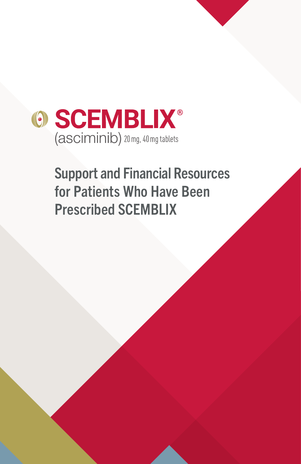

# Support and Financial Resources for Patients Who Have Been Prescribed SCEMBLIX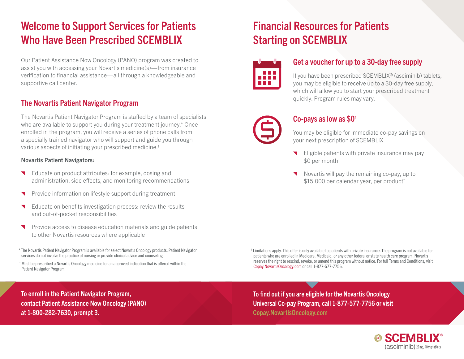## Welcome to Support Services for Patients Who Have Been Prescribed SCEMBLIX

Our Patient Assistance Now Oncology (PANO) program was created to assist you with accessing your Novartis medicine(s)—from insurance verification to financial assistance—all through a knowledgeable and supportive call center.

### The Novartis Patient Navigator Program

The Novartis Patient Navigator Program is staffed by a team of specialists who are available to support you during your treatment journey.\* Once enrolled in the program, you will receive a series of phone calls from a specially trained navigator who will support and guide you through various aspects of initiating your prescribed medicine.†

#### Novartis Patient Navigators:

- Educate on product attributes: for example, dosing and administration, side effects, and monitoring recommendations
- Provide information on lifestyle support during treatment ◥
- Educate on benefits investigation process: review the results and out-of-pocket responsibilities
- Provide access to disease education materials and guide patients  $\blacktriangledown$ to other Novartis resources where applicable
- \* The Novartis Patient Navigator Program is available for select Novartis Oncology products. Patient Navigator services do not involve the practice of nursing or provide clinical advice and counseling.

 † Must be prescribed a Novartis Oncology medicine for an approved indication that is offered within the Patient Navigator Program.

### Financial Resources for Patients Starting on SCEMBLIX



### Get a voucher for up to a 30-day free supply

If you have been prescribed SCEMBLIX® (asciminib) tablets, you may be eligible to receive up to a 30-day free supply, which will allow you to start your prescribed treatment quickly. Program rules may vary.



#### Co-pays as low as \$0‡

You may be eligible for immediate co-pay savings on your next prescription of SCEMBLIX.

- Eligible patients with private insurance may pay \$0 per month
- Novartis will pay the remaining co-pay, up to \$15,000 per calendar year, per product<sup>#</sup>

 ‡ Limitations apply. This offer is only available to patients with private insurance. The program is not available for patients who are enrolled in Medicare, Medicaid, or any other federal or state health care program. Novartis reserves the right to rescind, revoke, or amend this program without notice. For full Terms and Conditions, visit [Copay.NovartisOncology.com](https://copay.novartisoncology.com/) or call 1-877-577-7756.

To enroll in the Patient Navigator Program, contact Patient Assistance Now Oncology (PANO) at 1-800-282-7630, prompt 3.

To find out if you are eligible for the Novartis Oncology Universal Co-pay Program, call 1-877-577-7756 or visit [Copay.NovartisOncology.com](https://copay.novartisoncology.com/)